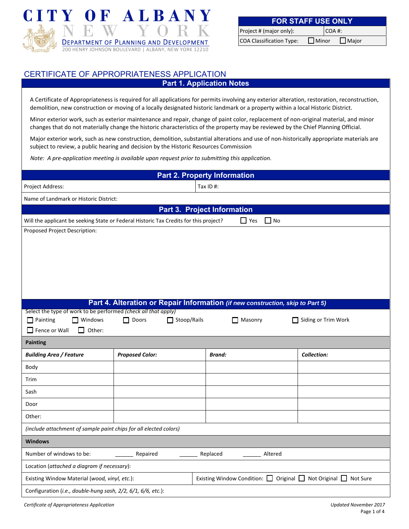

| <b>FOR STAFF USE ONLY</b>       |  |       |                           |  |  |
|---------------------------------|--|-------|---------------------------|--|--|
| Project # (major only):         |  | COA#: |                           |  |  |
| <b>COA Classification Type:</b> |  |       | $\Box$ Minor $\Box$ Major |  |  |

## CERTIFICATE OF APPROPRIATENESS APPLICATION

**Part 1. Application Notes** 

A Certificate of Appropriateness is required for all applications for permits involving any exterior alteration, restoration, reconstruction, demolition, new construction or moving of a locally designated historic landmark or a property within a local Historic District.

Minor exterior work, such as exterior maintenance and repair, change of paint color, replacement of non‐original material, and minor changes that do not materially change the historic characteristics of the property may be reviewed by the Chief Planning Official.

Major exterior work, such as new construction, demolition, substantial alterations and use of non‐historically appropriate materials are subject to review, a public hearing and decision by the Historic Resources Commission

*Note: A pre‐application meeting is available upon request prior to submitting this application.*

| <b>Part 2. Property Information</b>                                                                                             |                                                                                |                                    |                            |                     |  |
|---------------------------------------------------------------------------------------------------------------------------------|--------------------------------------------------------------------------------|------------------------------------|----------------------------|---------------------|--|
| Tax ID#:<br>Project Address:                                                                                                    |                                                                                |                                    |                            |                     |  |
| Name of Landmark or Historic District:                                                                                          |                                                                                |                                    |                            |                     |  |
|                                                                                                                                 |                                                                                | <b>Part 3. Project Information</b> |                            |                     |  |
| Will the applicant be seeking State or Federal Historic Tax Credits for this project?                                           |                                                                                | $\Box$ Yes                         | $\mathsf{I}$ $\mathsf{No}$ |                     |  |
| Proposed Project Description:                                                                                                   |                                                                                |                                    |                            |                     |  |
|                                                                                                                                 | Part 4. Alteration or Repair Information (if new construction, skip to Part 5) |                                    |                            |                     |  |
| Select the type of work to be performed (check all that apply)                                                                  |                                                                                |                                    |                            |                     |  |
| $\Box$ Windows<br>$\Box$ Painting                                                                                               | Stoop/Rails<br>$\Box$ Doors                                                    | $\Box$ Masonry                     |                            | Siding or Trim Work |  |
| $\Box$ Other:<br>$\Box$ Fence or Wall                                                                                           |                                                                                |                                    |                            |                     |  |
| <b>Painting</b>                                                                                                                 |                                                                                |                                    |                            |                     |  |
| <b>Building Area / Feature</b>                                                                                                  | <b>Proposed Color:</b>                                                         | <b>Brand:</b>                      |                            | Collection:         |  |
| Body                                                                                                                            |                                                                                |                                    |                            |                     |  |
| Trim                                                                                                                            |                                                                                |                                    |                            |                     |  |
| Sash                                                                                                                            |                                                                                |                                    |                            |                     |  |
| Door                                                                                                                            |                                                                                |                                    |                            |                     |  |
| Other:                                                                                                                          |                                                                                |                                    |                            |                     |  |
| (include attachment of sample paint chips for all elected colors)                                                               |                                                                                |                                    |                            |                     |  |
| <b>Windows</b>                                                                                                                  |                                                                                |                                    |                            |                     |  |
| Number of windows to be:<br>Replaced<br>Repaired<br>Altered                                                                     |                                                                                |                                    |                            |                     |  |
| Location (attached a diagram if necessary):                                                                                     |                                                                                |                                    |                            |                     |  |
| Existing Window Condition: $\Box$ Original $\Box$ Not Original $\Box$ Not Sure<br>Existing Window Material (wood, vinyl, etc.): |                                                                                |                                    |                            |                     |  |
| Configuration (i.e., double-hung sash, 2/2, 6/1, 6/6, etc.):                                                                    |                                                                                |                                    |                            |                     |  |

Certificate of Appropriateness Application Communication Certificate of Appropriateness Application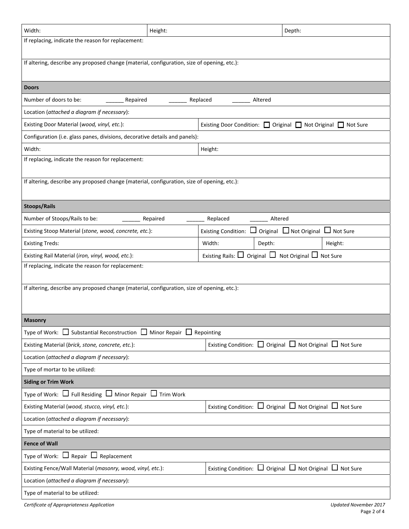| Width:                                                                                      | Height:                                                       |                                                                         | Depth:                                                                  |                              |  |  |  |
|---------------------------------------------------------------------------------------------|---------------------------------------------------------------|-------------------------------------------------------------------------|-------------------------------------------------------------------------|------------------------------|--|--|--|
| If replacing, indicate the reason for replacement:                                          |                                                               |                                                                         |                                                                         |                              |  |  |  |
| If altering, describe any proposed change (material, configuration, size of opening, etc.): |                                                               |                                                                         |                                                                         |                              |  |  |  |
| <b>Doors</b>                                                                                |                                                               |                                                                         |                                                                         |                              |  |  |  |
| Number of doors to be:<br>Repaired                                                          |                                                               | Replaced<br>Altered                                                     |                                                                         |                              |  |  |  |
| Location (attached a diagram if necessary):                                                 |                                                               |                                                                         |                                                                         |                              |  |  |  |
| Existing Door Material (wood, vinyl, etc.):                                                 | Existing Door Condition: □ Original □ Not Original □ Not Sure |                                                                         |                                                                         |                              |  |  |  |
| Configuration (i.e. glass panes, divisions, decorative details and panels):                 |                                                               |                                                                         |                                                                         |                              |  |  |  |
| Width:                                                                                      |                                                               | Height:                                                                 |                                                                         |                              |  |  |  |
| If replacing, indicate the reason for replacement:                                          |                                                               |                                                                         |                                                                         |                              |  |  |  |
| If altering, describe any proposed change (material, configuration, size of opening, etc.): |                                                               |                                                                         |                                                                         |                              |  |  |  |
| <b>Stoops/Rails</b>                                                                         |                                                               |                                                                         |                                                                         |                              |  |  |  |
| Number of Stoops/Rails to be:                                                               | Repaired                                                      | Replaced                                                                | Altered                                                                 |                              |  |  |  |
| Existing Stoop Material (stone, wood, concrete, etc.):                                      |                                                               | Existing Condition: $\Box$ Original $\Box$ Not Original $\Box$ Not Sure |                                                                         |                              |  |  |  |
| <b>Existing Treds:</b>                                                                      |                                                               | Width:                                                                  | Depth:                                                                  | Height:                      |  |  |  |
| Existing Rail Material (iron, vinyl, wood, etc.):                                           |                                                               | Existing Rails: $\Box$ Original $\Box$ Not Original $\Box$ Not Sure     |                                                                         |                              |  |  |  |
| If replacing, indicate the reason for replacement:                                          |                                                               |                                                                         |                                                                         |                              |  |  |  |
|                                                                                             |                                                               |                                                                         |                                                                         |                              |  |  |  |
| If altering, describe any proposed change (material, configuration, size of opening, etc.): |                                                               |                                                                         |                                                                         |                              |  |  |  |
|                                                                                             |                                                               |                                                                         |                                                                         |                              |  |  |  |
| <b>Masonry</b>                                                                              |                                                               |                                                                         |                                                                         |                              |  |  |  |
| Type of Work: $\Box$ Substantial Reconstruction $\Box$ Minor Repair $\Box$ Repointing       |                                                               |                                                                         |                                                                         |                              |  |  |  |
| Existing Material (brick, stone, concrete, etc.):                                           |                                                               |                                                                         | Existing Condition: $\Box$ Original $\Box$ Not Original $\Box$ Not Sure |                              |  |  |  |
| Location (attached a diagram if necessary):                                                 |                                                               |                                                                         |                                                                         |                              |  |  |  |
| Type of mortar to be utilized:                                                              |                                                               |                                                                         |                                                                         |                              |  |  |  |
| <b>Siding or Trim Work</b>                                                                  |                                                               |                                                                         |                                                                         |                              |  |  |  |
| Type of Work: $\Box$ Full Residing $\Box$ Minor Repair $\Box$ Trim Work                     |                                                               |                                                                         |                                                                         |                              |  |  |  |
| Existing Material (wood, stucco, vinyl, etc.):                                              |                                                               |                                                                         | Existing Condition: $\Box$ Original $\Box$ Not Original $\Box$ Not Sure |                              |  |  |  |
| Location (attached a diagram if necessary):                                                 |                                                               |                                                                         |                                                                         |                              |  |  |  |
| Type of material to be utilized:                                                            |                                                               |                                                                         |                                                                         |                              |  |  |  |
| <b>Fence of Wall</b>                                                                        |                                                               |                                                                         |                                                                         |                              |  |  |  |
| Type of Work: $\Box$ Repair $\Box$ Replacement                                              |                                                               |                                                                         |                                                                         |                              |  |  |  |
| Existing Fence/Wall Material (masonry, wood, vinyl, etc.):                                  |                                                               |                                                                         | Existing Condition: $\Box$ Original $\Box$ Not Original $\Box$ Not Sure |                              |  |  |  |
| Location (attached a diagram if necessary):                                                 |                                                               |                                                                         |                                                                         |                              |  |  |  |
| Type of material to be utilized:                                                            |                                                               |                                                                         |                                                                         |                              |  |  |  |
| Certificate of Appropriateness Application                                                  |                                                               |                                                                         |                                                                         | <b>Updated November 2017</b> |  |  |  |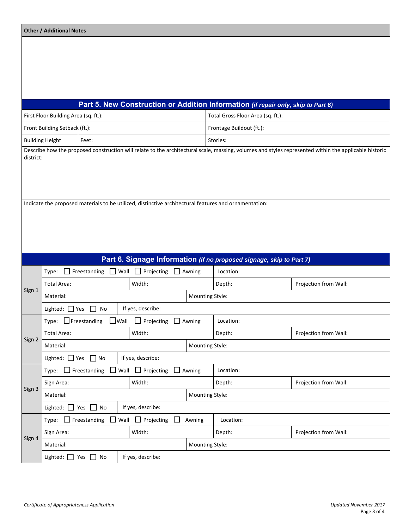|                                          | <b>Other / Additional Notes</b>                                       |                                                                       |                 |                                                                |                                 |                                                                                                       |                                                                                                                                                       |  |
|------------------------------------------|-----------------------------------------------------------------------|-----------------------------------------------------------------------|-----------------|----------------------------------------------------------------|---------------------------------|-------------------------------------------------------------------------------------------------------|-------------------------------------------------------------------------------------------------------------------------------------------------------|--|
|                                          |                                                                       |                                                                       |                 |                                                                |                                 |                                                                                                       |                                                                                                                                                       |  |
|                                          |                                                                       |                                                                       |                 |                                                                |                                 |                                                                                                       |                                                                                                                                                       |  |
|                                          |                                                                       |                                                                       |                 |                                                                |                                 |                                                                                                       |                                                                                                                                                       |  |
|                                          |                                                                       |                                                                       |                 |                                                                |                                 |                                                                                                       |                                                                                                                                                       |  |
|                                          |                                                                       |                                                                       |                 |                                                                |                                 |                                                                                                       |                                                                                                                                                       |  |
|                                          |                                                                       |                                                                       |                 |                                                                |                                 | Part 5. New Construction or Addition Information (if repair only, skip to Part 6)                     |                                                                                                                                                       |  |
|                                          | First Floor Building Area (sq. ft.):                                  |                                                                       |                 |                                                                |                                 | Total Gross Floor Area (sq. ft.):                                                                     |                                                                                                                                                       |  |
|                                          | Front Building Setback (ft.):                                         |                                                                       |                 |                                                                |                                 | Frontage Buildout (ft.):                                                                              |                                                                                                                                                       |  |
|                                          | <b>Building Height</b>                                                | Feet:                                                                 |                 |                                                                |                                 | Stories:                                                                                              |                                                                                                                                                       |  |
| district:                                |                                                                       |                                                                       |                 |                                                                |                                 |                                                                                                       | Describe how the proposed construction will relate to the architectural scale, massing, volumes and styles represented within the applicable historic |  |
|                                          |                                                                       |                                                                       |                 |                                                                |                                 |                                                                                                       |                                                                                                                                                       |  |
|                                          |                                                                       |                                                                       |                 |                                                                |                                 |                                                                                                       |                                                                                                                                                       |  |
|                                          |                                                                       |                                                                       |                 |                                                                |                                 |                                                                                                       |                                                                                                                                                       |  |
|                                          |                                                                       |                                                                       |                 |                                                                |                                 | Indicate the proposed materials to be utilized, distinctive architectural features and ornamentation: |                                                                                                                                                       |  |
|                                          |                                                                       |                                                                       |                 |                                                                |                                 |                                                                                                       |                                                                                                                                                       |  |
|                                          |                                                                       |                                                                       |                 |                                                                |                                 |                                                                                                       |                                                                                                                                                       |  |
|                                          |                                                                       |                                                                       |                 |                                                                |                                 |                                                                                                       |                                                                                                                                                       |  |
|                                          |                                                                       |                                                                       |                 |                                                                |                                 |                                                                                                       |                                                                                                                                                       |  |
|                                          |                                                                       |                                                                       |                 |                                                                |                                 | Part 6. Signage Information (if no proposed signage, skip to Part 7)                                  |                                                                                                                                                       |  |
|                                          |                                                                       | Type: $\Box$ Freestanding $\Box$ Wall $\Box$ Projecting $\Box$ Awning |                 |                                                                |                                 | Location:                                                                                             |                                                                                                                                                       |  |
| Sign 1                                   | Width:<br><b>Total Area:</b>                                          |                                                                       |                 |                                                                | Depth:<br>Projection from Wall: |                                                                                                       |                                                                                                                                                       |  |
|                                          | Material:                                                             |                                                                       |                 | Mounting Style:                                                |                                 |                                                                                                       |                                                                                                                                                       |  |
|                                          | If yes, describe:<br>Lighted: $\Box$ Yes<br>$\Box$ No                 |                                                                       |                 |                                                                |                                 |                                                                                                       |                                                                                                                                                       |  |
|                                          | Type: $\Box$ Freestanding $\Box$ Wall $\Box$ Projecting $\Box$ Awning |                                                                       |                 | Location:                                                      |                                 |                                                                                                       |                                                                                                                                                       |  |
| Sign 2                                   | Width:<br>Total Area:                                                 |                                                                       |                 |                                                                | Projection from Wall:<br>Depth: |                                                                                                       |                                                                                                                                                       |  |
|                                          | Material:                                                             |                                                                       |                 |                                                                | Mounting Style:                 |                                                                                                       |                                                                                                                                                       |  |
|                                          | If yes, describe:<br>Lighted: $\Box$ Yes $\Box$ No                    |                                                                       |                 |                                                                |                                 |                                                                                                       |                                                                                                                                                       |  |
|                                          | Type: $\Box$ Freestanding $\Box$ Wall $\Box$ Projecting $\Box$ Awning |                                                                       |                 |                                                                | Location:                       |                                                                                                       |                                                                                                                                                       |  |
| Sign 3                                   | Width:<br>Sign Area:                                                  |                                                                       |                 |                                                                | Depth:                          | Projection from Wall:                                                                                 |                                                                                                                                                       |  |
|                                          | Material:                                                             |                                                                       | Mounting Style: |                                                                |                                 |                                                                                                       |                                                                                                                                                       |  |
| Lighted: □ Yes □ No<br>If yes, describe: |                                                                       |                                                                       |                 |                                                                |                                 |                                                                                                       |                                                                                                                                                       |  |
|                                          |                                                                       |                                                                       |                 | Type: $\Box$ Freestanding $\Box$ Wall $\Box$ Projecting $\Box$ | Awning                          | Location:                                                                                             |                                                                                                                                                       |  |
| Sign 4                                   | Width:<br>Sign Area:                                                  |                                                                       |                 | Projection from Wall:<br>Depth:                                |                                 |                                                                                                       |                                                                                                                                                       |  |
|                                          | Material:                                                             |                                                                       | Mounting Style: |                                                                |                                 |                                                                                                       |                                                                                                                                                       |  |
|                                          | Lighted: $\Box$ Yes $\Box$ No                                         |                                                                       |                 | If yes, describe:                                              |                                 |                                                                                                       |                                                                                                                                                       |  |